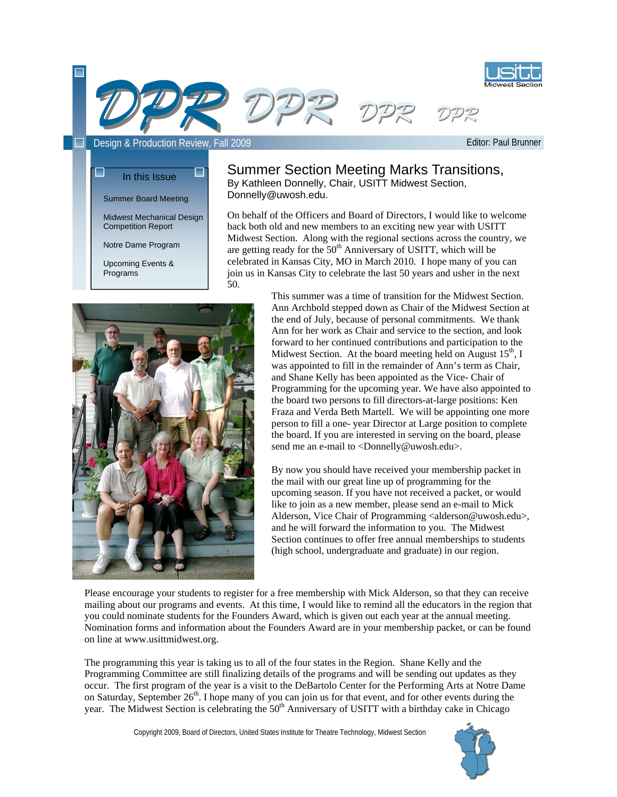



 $\blacksquare$ 

Editor: Paul Brunner

#### ۳ In this Issue

Summer Board Meeting

Midwest Mechanical Design Competition Report

Notre Dame Program

Upcoming Events & Programs

# Summer Section Meeting Marks Transitions,

By Kathleen Donnelly, Chair, USITT Midwest Section, Donnelly@uwosh.edu.

On behalf of the Officers and Board of Directors, I would like to welcome back both old and new members to an exciting new year with USITT Midwest Section. Along with the regional sections across the country, we are getting ready for the  $50<sup>th</sup>$  Anniversary of USITT, which will be celebrated in Kansas City, MO in March 2010. I hope many of you can join us in Kansas City to celebrate the last 50 years and usher in the next 50.



This summer was a time of transition for the Midwest Section. Ann Archbold stepped down as Chair of the Midwest Section at the end of July, because of personal commitments. We thank Ann for her work as Chair and service to the section, and look forward to her continued contributions and participation to the Midwest Section. At the board meeting held on August  $15<sup>th</sup>$ , I was appointed to fill in the remainder of Ann's term as Chair, and Shane Kelly has been appointed as the Vice- Chair of Programming for the upcoming year. We have also appointed to the board two persons to fill directors-at-large positions: Ken Fraza and Verda Beth Martell. We will be appointing one more person to fill a one- year Director at Large position to complete the board. If you are interested in serving on the board, please send me an e-mail to <Donnelly@uwosh.edu>.

By now you should have received your membership packet in the mail with our great line up of programming for the upcoming season. If you have not received a packet, or would like to join as a new member, please send an e-mail to Mick Alderson, Vice Chair of Programming <alderson@uwosh.edu>, and he will forward the information to you. The Midwest Section continues to offer free annual memberships to students (high school, undergraduate and graduate) in our region.

Please encourage your students to register for a free membership with Mick Alderson, so that they can receive mailing about our programs and events. At this time, I would like to remind all the educators in the region that you could nominate students for the Founders Award, which is given out each year at the annual meeting. Nomination forms and information about the Founders Award are in your membership packet, or can be found on line at www.usittmidwest.org.

The programming this year is taking us to all of the four states in the Region. Shane Kelly and the Programming Committee are still finalizing details of the programs and will be sending out updates as they occur. The first program of the year is a visit to the DeBartolo Center for the Performing Arts at Notre Dame on Saturday, September 26<sup>th</sup>. I hope many of you can join us for that event, and for other events during the year. The Midwest Section is celebrating the 50<sup>th</sup> Anniversary of USITT with a birthday cake in Chicago

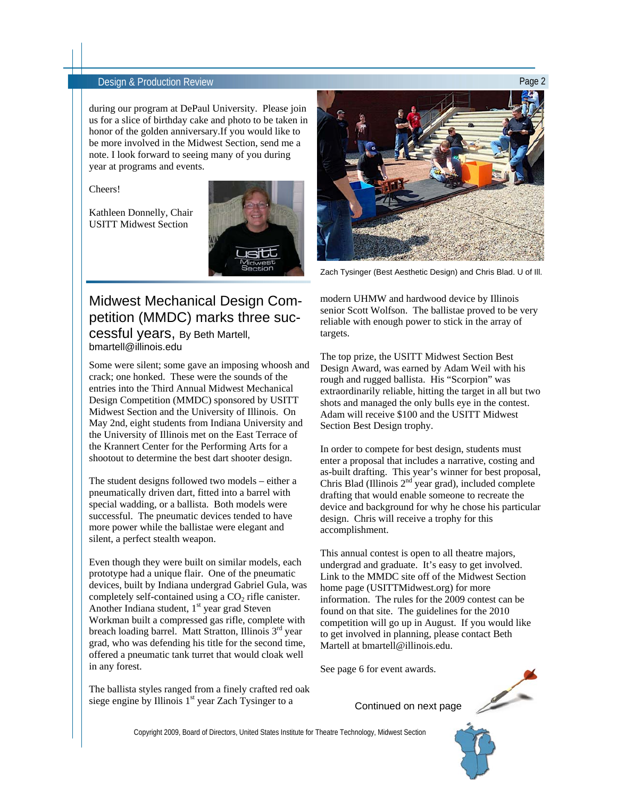#### **Design & Production Review Page 2** and the production Review Page 2

during our program at DePaul University. Please join us for a slice of birthday cake and photo to be taken in honor of the golden anniversary.If you would like to be more involved in the Midwest Section, send me a note. I look forward to seeing many of you during year at programs and events.

Cheers!

Kathleen Donnelly, Chair USITT Midwest Section



## Midwest Mechanical Design Competition (MMDC) marks three successful years, By Beth Martell, bmartell@illinois.edu

Some were silent; some gave an imposing whoosh and crack; one honked. These were the sounds of the entries into the Third Annual Midwest Mechanical Design Competition (MMDC) sponsored by USITT Midwest Section and the University of Illinois. On May 2nd, eight students from Indiana University and the University of Illinois met on the East Terrace of the Krannert Center for the Performing Arts for a shootout to determine the best dart shooter design.

The student designs followed two models – either a pneumatically driven dart, fitted into a barrel with special wadding, or a ballista. Both models were successful. The pneumatic devices tended to have more power while the ballistae were elegant and silent, a perfect stealth weapon.

Even though they were built on similar models, each prototype had a unique flair. One of the pneumatic devices, built by Indiana undergrad Gabriel Gula, was completely self-contained using a  $CO<sub>2</sub>$  rifle canister. Another Indiana student,  $1<sup>st</sup>$  year grad Steven Workman built a compressed gas rifle, complete with breach loading barrel. Matt Stratton, Illinois  $3<sup>rd</sup>$  year grad, who was defending his title for the second time, offered a pneumatic tank turret that would cloak well in any forest.

The ballista styles ranged from a finely crafted red oak siege engine by Illinois  $1<sup>st</sup>$  year Zach Tysinger to a



Zach Tysinger (Best Aesthetic Design) and Chris Blad. U of Ill.

modern UHMW and hardwood device by Illinois senior Scott Wolfson. The ballistae proved to be very reliable with enough power to stick in the array of targets.

The top prize, the USITT Midwest Section Best Design Award, was earned by Adam Weil with his rough and rugged ballista. His "Scorpion" was extraordinarily reliable, hitting the target in all but two shots and managed the only bulls eye in the contest. Adam will receive \$100 and the USITT Midwest Section Best Design trophy.

In order to compete for best design, students must enter a proposal that includes a narrative, costing and as-built drafting. This year's winner for best proposal, Chris Blad (Illinois  $2<sup>nd</sup>$  year grad), included complete drafting that would enable someone to recreate the device and background for why he chose his particular design. Chris will receive a trophy for this accomplishment.

This annual contest is open to all theatre majors, undergrad and graduate. It's easy to get involved. Link to the MMDC site off of the Midwest Section home page (USITTMidwest.org) for more information. The rules for the 2009 contest can be found on that site. The guidelines for the 2010 competition will go up in August. If you would like to get involved in planning, please contact Beth Martell at bmartell@illinois.edu.

See page 6 for event awards.



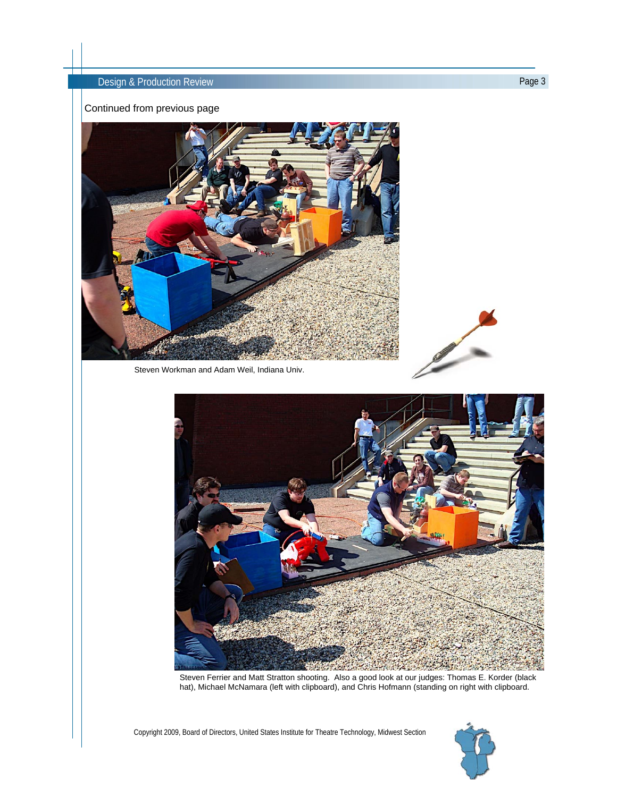#### Continued from previous page



Steven Workman and Adam Weil, Indiana Univ.



Steven Ferrier and Matt Stratton shooting. Also a good look at our judges: Thomas E. Korder (black hat), Michael McNamara (left with clipboard), and Chris Hofmann (standing on right with clipboard.

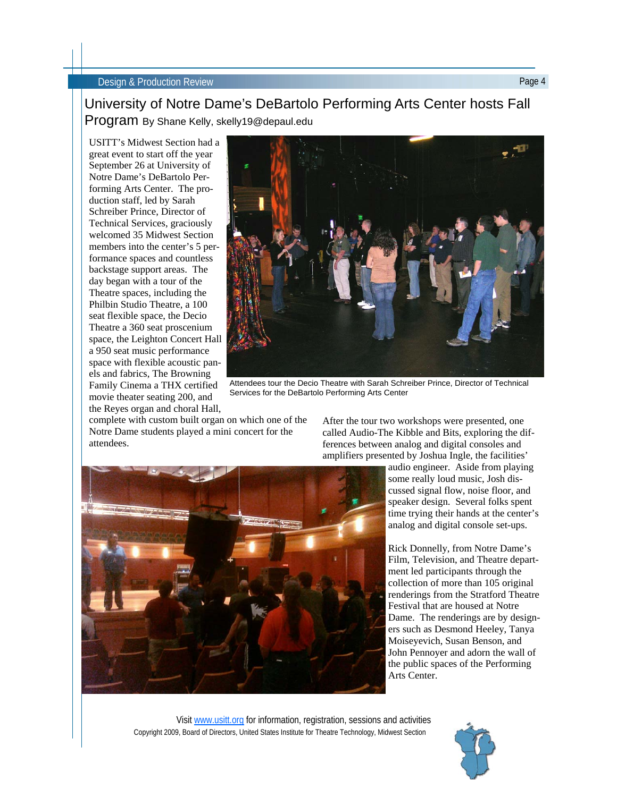University of Notre Dame's DeBartolo Performing Arts Center hosts Fall Program By Shane Kelly, skelly19@depaul.edu

USITT's Midwest Section had a great event to start off the year September 26 at University of Notre Dame's DeBartolo Performing Arts Center. The production staff, led by Sarah Schreiber Prince, Director of Technical Services, graciously welcomed 35 Midwest Section members into the center's 5 performance spaces and countless backstage support areas. The day began with a tour of the Theatre spaces, including the Philbin Studio Theatre, a 100 seat flexible space, the Decio Theatre a 360 seat proscenium space, the Leighton Concert Hall a 950 seat music performance space with flexible acoustic panels and fabrics, The Browning Family Cinema a THX certified movie theater seating 200, and the Reyes organ and choral Hall,



Attendees tour the Decio Theatre with Sarah Schreiber Prince, Director of Technical Services for the DeBartolo Performing Arts Center

complete with custom built organ on which one of the Notre Dame students played a mini concert for the attendees.

After the tour two workshops were presented, one called Audio-The Kibble and Bits, exploring the differences between analog and digital consoles and amplifiers presented by Joshua Ingle, the facilities'

> audio engineer. Aside from playing some really loud music, Josh discussed signal flow, noise floor, and speaker design. Several folks spent time trying their hands at the center's analog and digital console set-ups.

> Rick Donnelly, from Notre Dame's Film, Television, and Theatre department led participants through the collection of more than 105 original renderings from the Stratford Theatre Festival that are housed at Notre Dame. The renderings are by designers such as Desmond Heeley, Tanya Moiseyevich, Susan Benson, and John Pennoyer and adorn the wall of the public spaces of the Performing Arts Center.



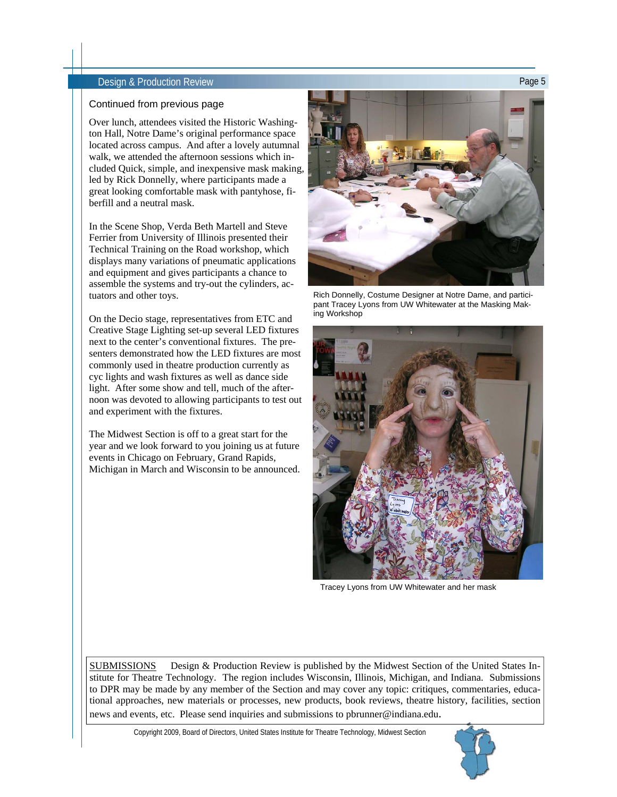#### Continued from previous page

Over lunch, attendees visited the Historic Washington Hall, Notre Dame's original performance space located across campus. And after a lovely autumnal walk, we attended the afternoon sessions which included Quick, simple, and inexpensive mask making, led by Rick Donnelly, where participants made a great looking comfortable mask with pantyhose, fiberfill and a neutral mask.

In the Scene Shop, Verda Beth Martell and Steve Ferrier from University of Illinois presented their Technical Training on the Road workshop, which displays many variations of pneumatic applications and equipment and gives participants a chance to assemble the systems and try-out the cylinders, actuators and other toys.

On the Decio stage, representatives from ETC and Creative Stage Lighting set-up several LED fixtures next to the center's conventional fixtures. The presenters demonstrated how the LED fixtures are most commonly used in theatre production currently as cyc lights and wash fixtures as well as dance side light. After some show and tell, much of the afternoon was devoted to allowing participants to test out and experiment with the fixtures.

The Midwest Section is off to a great start for the year and we look forward to you joining us at future events in Chicago on February, Grand Rapids, Michigan in March and Wisconsin to be announced.



Rich Donnelly, Costume Designer at Notre Dame, and participant Tracey Lyons from UW Whitewater at the Masking Making Workshop



Tracey Lyons from UW Whitewater and her mask

SUBMISSIONS Design & Production Review is published by the Midwest Section of the United States Institute for Theatre Technology. The region includes Wisconsin, Illinois, Michigan, and Indiana. Submissions to DPR may be made by any member of the Section and may cover any topic: critiques, commentaries, educational approaches, new materials or processes, new products, book reviews, theatre history, facilities, section news and events, etc. Please send inquiries and submissions to pbrunner@indiana.edu.